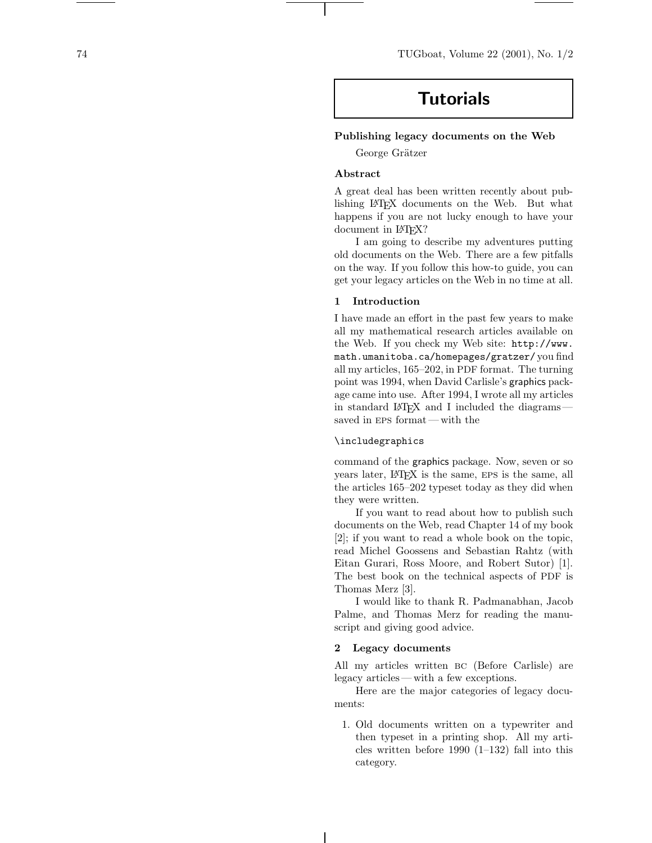# **Tutorials**

## **Publishing legacy documents on the Web**

George Grätzer

## **Abstract**

A great deal has been written recently about publishing LATEX documents on the Web. But what happens if you are not lucky enough to have your document in LAT<sub>EX</sub>?

I am going to describe my adventures putting old documents on the Web. There are a few pitfalls onthe way. If you follow this how-to guide, you can get your legacy articles on the Web in no time at all.

## **1 Introduction**

I have made an effort in the past few years to make all my mathematical research articles available on the Web. If you check my Web site: http://www. math.umanitoba.ca/homepages/gratzer/ you find all my articles, 165–202, in PDF format. The turning point was 1994, when David Carlisle's graphics package came into use. After 1994, I wrote all my articles in standard LAT<sub>EX</sub> and I included the diagrams saved in eps format— with the

## \includegraphics

command of the graphics package. Now, seven or so years later, LATEX is the same, eps is the same, all the articles 165–202 typeset today as they did when they were written.

If you want to read about how to publish such documents on the Web, read Chapter 14 of my book [2]; if you want to read a whole book on the topic, read Michel Goossens and Sebastian Rahtz (with Eitan Gurari, Ross Moore, and Robert Sutor) [1]. The best book on the technical aspects of PDF is Thomas Merz [3].

I would like to thank R. Padmanabhan, Jacob Palme, and Thomas Merz for reading the manuscript and giving good advice.

## **2 Legacy documents**

All my articles written bc (Before Carlisle) are legacy articles— with a few exceptions.

Here are the major categories of legacy documents:

1. Old documents written on a typewriter and then typeset in a printing shop. All my articles written before 1990  $(1-132)$  fall into this category.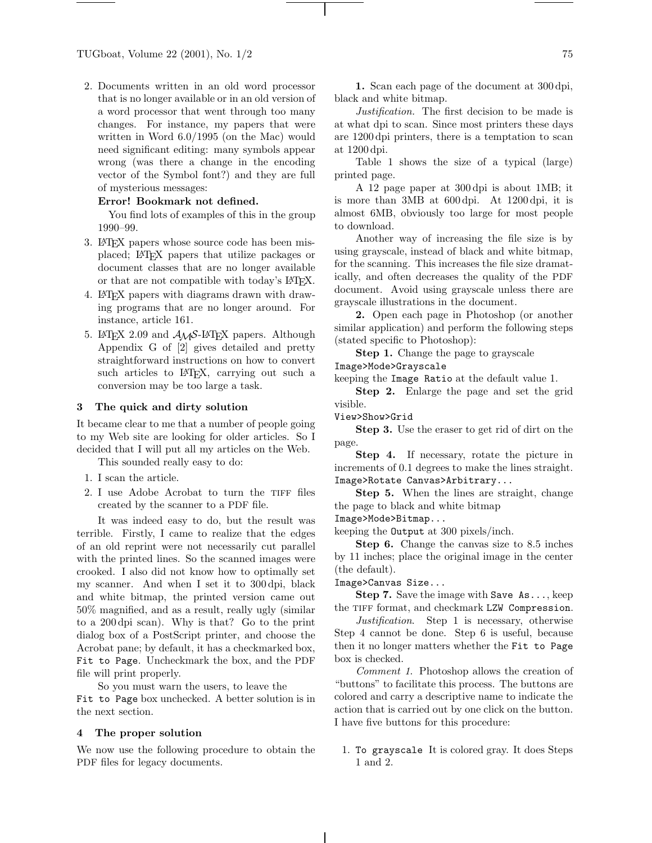2. Documents written in an old word processor that is no longer available or in an old version of a word processor that went through too many changes. For instance, my papers that were written in Word  $6.0/1995$  (on the Mac) would need significant editing: many symbols appear wrong (was there a change in the encoding vector of the Symbol font?) and they are full of mysterious messages:

#### **Error! Bookmark not defined.**

You find lots of examples of this in the group 1990–99.

- 3. LAT<sub>E</sub>X papers whose source code has been misplaced; LATEX papers that utilize packages or document classes that are no longer available or that are not compatible with today's LATEX.
- 4. LATEX papers with diagrams drawnwith drawing programs that are no longer around. For instance, article 161.
- 5. LAT<sub>E</sub>X 2.09 and  $A_{\mathcal{M}}S$ -LAT<sub>E</sub>X papers. Although Appendix G of [2] gives detailed and pretty straightforward instructions on how to convert such articles to LAT<sub>EX</sub>, carrying out such a conversion may be too large a task.

#### **3 The quick and dirty solution**

It became clear to me that a number of people going to my Web site are looking for older articles. So I decided that I will put all my articles on the Web.

This sounded really easy to do:

- 1. I scan the article.
- 2. I use Adobe Acrobat to turn the TIFF files created by the scanner to a PDF file.

It was indeed easy to do, but the result was terrible. Firstly, I came to realize that the edges of an old reprint were not necessarily cut parallel with the printed lines. So the scanned images were crooked. I also did not know how to optimally set my scanner. And when I set it to 300 dpi, black and white bitmap, the printed version came out 50% magnified, and as a result, really ugly (similar to a 200 dpi scan). Why is that? Go to the print dialog box of a PostScript printer, and choose the Acrobat pane; by default, it has a checkmarked box, Fit to Page. Uncheckmark the box, and the PDF file will print properly.

So you must warn the users, to leave the Fit to Page box unchecked. A better solution is in the next section.

#### **4 The proper solution**

We now use the following procedure to obtain the PDF files for legacy documents.

**1.** Scaneach page of the document at 300 dpi, black and white bitmap.

*Justification*. The first decision to be made is at what dpi to scan. Since most printers these days are 1200 dpi printers, there is a temptation to scan at 1200 dpi.

Table 1 shows the size of a typical (large) printed page.

A 12 page paper at 300 dpi is about 1MB; it is more than3MB at 600 dpi. At 1200 dpi, it is almost 6MB, obviously too large for most people to download.

Another way of increasing the file size is by using grayscale, instead of black and white bitmap, for the scanning. This increases the file size dramatically, and often decreases the quality of the PDF document. Avoid using grayscale unless there are grayscale illustrations in the document.

**2.** Open each page in Photoshop (or another similar application) and perform the following steps (stated specific to Photoshop):

**Step 1.** Change the page to grayscale

#### Image>Mode>Grayscale

keeping the Image Ratio at the default value 1.

**Step 2.** Enlarge the page and set the grid visible.

View>Show>Grid

**Step 3.** Use the eraser to get rid of dirt on the page.

**Step 4.** If necessary, rotate the picture in increments of 0.1 degrees to make the lines straight. Image>Rotate Canvas>Arbitrary...

**Step 5.** When the lines are straight, change the page to black and white bitmap

Image>Mode>Bitmap...

keeping the Output at 300 pixels/inch.

**Step 6.** Change the canvas size to 8.5 inches by 11 inches; place the original image in the center (the default).

Image>Canvas Size...

**Step 7.** Save the image with Save As..., keep the TIFF format, and checkmark LZW Compression.

*Justification*. Step 1 is necessary, otherwise Step 4 cannot be done. Step 6 is useful, because then it no longer matters whether the Fit to Page box is checked.

*Comment 1.* Photoshop allows the creation of "buttons" to facilitate this process. The buttons are colored and carry a descriptive name to indicate the action that is carried out by one click on the button. I have five buttons for this procedure:

1. To grayscale It is colored gray. It does Steps 1 and 2.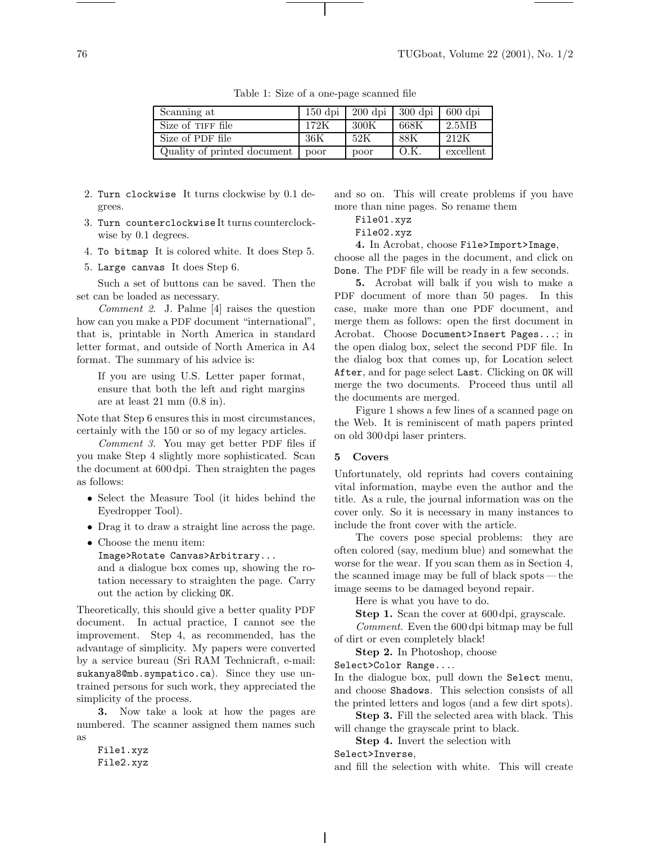| Scanning at                 |      | 150 dpi   200 dpi   300 dpi   600 dpi |      |           |
|-----------------------------|------|---------------------------------------|------|-----------|
| Size of TIFF file           | 172K | -300K                                 | 668K | 2.5MB     |
| Size of PDF file            | 36K  | -52K                                  | 88K  | 212K      |
| Quality of printed document | poor | poor                                  | O.K  | excellent |

Table 1: Size of a one-page scanned file

- 2. Turn clockwise It turns clockwise by 0.1 degrees.
- 3. Turn counterclockwise It turns counterclockwise by 0.1 degrees.
- 4. To bitmap It is colored white. It does Step 5.
- 5. Large canvas It does Step 6.

Such a set of buttons can be saved. Then the set can be loaded as necessary.

*Comment 2*. J. Palme [4] raises the question how can you make a PDF document "international", that is, printable in North America in standard letter format, and outside of North America in A4 format. The summary of his advice is:

If you are using U.S. Letter paper format, ensure that both the left and right margins are at least 21 mm (0.8 in).

Note that Step 6 ensures this in most circumstances, certainly with the 150 or so of my legacy articles.

*Comment 3.* You may get better PDF files if you make Step 4 slightly more sophisticated. Scan the document at 600 dpi. Then straighten the pages as follows:

- *•* Select the Measure Tool (it hides behind the Eyedropper Tool).
- *•* Drag it to draw a straight line across the page.
- *•* Choose the menu item: Image>Rotate Canvas>Arbitrary... and a dialogue box comes up, showing the ro-

tation necessary to straighten the page. Carry out the action by clicking OK.

Theoretically, this should give a better quality PDF document. In actual practice, I cannot see the improvement. Step 4, as recommended, has the advantage of simplicity. My papers were converted by a service bureau (Sri RAM Technicraft, e-mail: sukanya8@mb.sympatico.ca). Since they use untrained persons for such work, they appreciated the simplicity of the process.

**3.** Now take a look at how the pages are numbered. The scanner assigned them names such as

File1.xyz File2.xyz and so on. This will create problems if you have more than nine pages. So rename them

File01.xyz

File02.xyz

**4.** InAcrobat, choose File>Import>Image,

choose all the pages in the document, and click on Done. The PDF file will be ready in a few seconds.

**5.** Acrobat will balk if you wish to make a PDF document of more than 50 pages. In this case, make more than one PDF document, and merge them as follows: open the first document in Acrobat. Choose Document>Insert Pages...; in the open dialog box, select the second PDF file. In the dialog box that comes up, for Location select After, and for page select Last. Clicking on OK will merge the two documents. Proceed thus until all the documents are merged.

Figure 1 shows a few lines of a scanned page on the Web. It is reminiscent of math papers printed on old 300 dpi laser printers.

### **5 Covers**

Unfortunately, old reprints had covers containing vital information, maybe even the author and the title. As a rule, the journal information was on the cover only. So it is necessary in many instances to include the front cover with the article.

The covers pose special problems: they are often colored (say, medium blue) and somewhat the worse for the wear. If you scan them as in Section 4, the scanned image may be full of black spots— the image seems to be damaged beyond repair.

Here is what you have to do.

**Step 1.** Scan the cover at 600 dpi, grayscale. *Comment.* Even the 600 dpi bitmap may be full

of dirt or even completely black!

**Step 2.** In Photoshop, choose

Select>Color Range....

In the dialogue box, pull down the Select menu, and choose Shadows. This selection consists of all the printed letters and logos (and a few dirt spots).

**Step 3.** Fill the selected area with black. This will change the grayscale print to black.

**Step 4.** Invert the selection with

Select>Inverse,

and fill the selection with white. This will create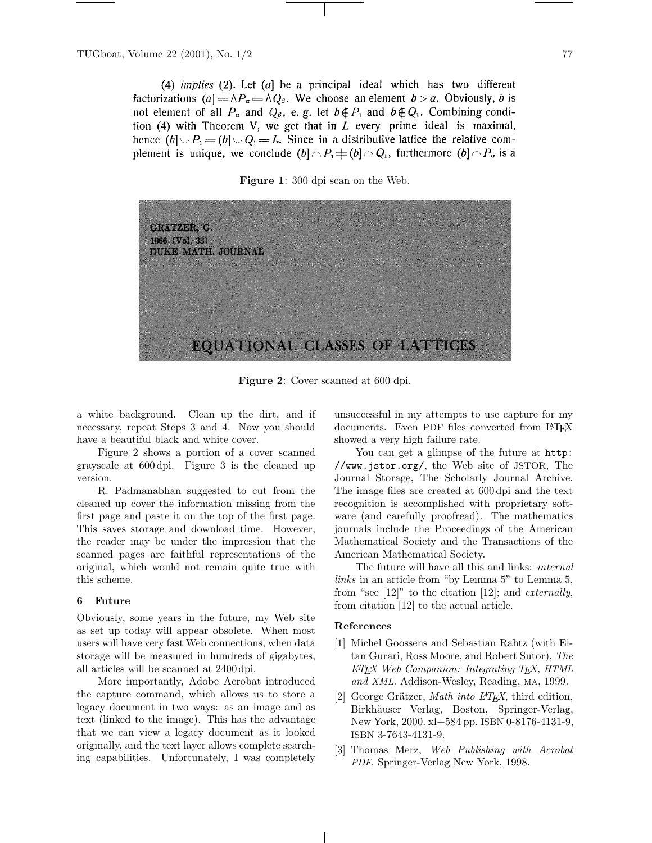(4) *implies* (2). Let  $(a)$  be a principal ideal which has two different factorizations (a] =  $\wedge P_a$  =  $\wedge Q_\beta$ . We choose an element  $b > a$ . Obviously, b is not element of all  $P_{\alpha}$  and  $Q_{\beta}$ , e. g. let  $b \notin P_1$  and  $b \notin Q_1$ . Combining condition  $(4)$  with Theorem V, we get that in  $L$  every prime ideal is maximal, hence  $(b] \cup P_1 = (b] \cup Q_1 = L$ . Since in a distributive lattice the relative complement is unique, we conclude  $(b|\cap P_1 \neq (b|\cap Q_1)$ , furthermore  $(b|\cap P_{\alpha})$  is a





**Figure 2**: Cover scanned at 600 dpi.

a white background. Clean up the dirt, and if necessary, repeat Steps 3 and 4. Now you should have a beautiful black and white cover.

Figure 2 shows a portion of a cover scanned grayscale at 600 dpi. Figure 3 is the cleaned up version.

R. Padmanabhan suggested to cut from the cleaned up cover the information missing from the first page and paste it on the top of the first page. This saves storage and download time. However, the reader may be under the impression that the scanned pages are faithful representations of the original, which would not remain quite true with this scheme.

#### **6 Future**

Obviously, some years in the future, my Web site as set up today will appear obsolete. When most users will have very fast Web connections, when data storage will be measured in hundreds of gigabytes, all articles will be scanned at 2400 dpi.

More importantly, Adobe Acrobat introduced the capture command, which allows us to store a legacy document intwo ways: as animage and as text (linked to the image). This has the advantage that we canview a legacy document as it looked originally, and the text layer allows complete searching capabilities. Unfortunately, I was completely

unsuccessful in my attempts to use capture for my documents. Even PDF files converted from LATEX showed a very high failure rate.

You can get a glimpse of the future at http: //www.jstor.org/, the Web site of JSTOR, The Journal Storage, The Scholarly Journal Archive. The image files are created at 600 dpi and the text recognition is accomplished with proprietary software (and carefully proofread). The mathematics journals include the Proceedings of the American Mathematical Society and the Transactions of the American Mathematical Society.

The future will have all this and links: *internal links* in an article from "by Lemma 5" to Lemma 5, from "see [12]" to the citation[12]; and *externally*, from citation[12] to the actual article.

## **References**

- [1] Michel Goossens and Sebastian Rahtz (with EitanGurari, Ross Moore, and Robert Sutor), *The LATEX Web Companion: Integrating TEX, HTML and XML*. Addison-Wesley, Reading, MA, 1999.
- [2] George Grätzer, *Math into L<sup>A</sup>TEX*, third edition, Birkhäuser Verlag, Boston, Springer-Verlag, New York, 2000. xl+584 pp. ISBN 0-8176-4131-9, ISBN 3-7643-4131-9.
- [3] Thomas Merz, *Web Publishing with Acrobat PDF*. Springer-Verlag New York, 1998.